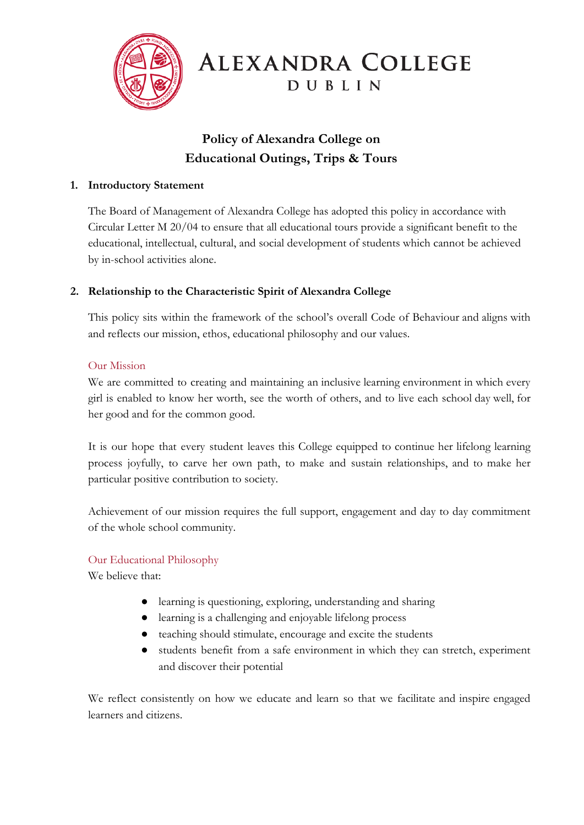

# **ALEXANDRA COLLEGE** DUBLIN

## **Policy of Alexandra College on Educational Outings, Trips & Tours**

#### **1. Introductory Statement**

The Board of Management of Alexandra College has adopted this policy in accordance with Circular Letter M 20/04 to ensure that all educational tours provide a significant benefit to the educational, intellectual, cultural, and social development of students which cannot be achieved by in-school activities alone.

#### **2. Relationship to the Characteristic Spirit of Alexandra College**

This policy sits within the framework of the school's overall Code of Behaviour and aligns with and reflects our mission, ethos, educational philosophy and our values.

#### Our Mission

We are committed to creating and maintaining an inclusive learning environment in which every girl is enabled to know her worth, see the worth of others, and to live each school day well, for her good and for the common good.

It is our hope that every student leaves this College equipped to continue her lifelong learning process joyfully, to carve her own path, to make and sustain relationships, and to make her particular positive contribution to society.

Achievement of our mission requires the full support, engagement and day to day commitment of the whole school community.

#### Our Educational Philosophy

We believe that:

- learning is questioning, exploring, understanding and sharing
- learning is a challenging and enjoyable lifelong process
- teaching should stimulate, encourage and excite the students
- students benefit from a safe environment in which they can stretch, experiment and discover their potential

We reflect consistently on how we educate and learn so that we facilitate and inspire engaged learners and citizens.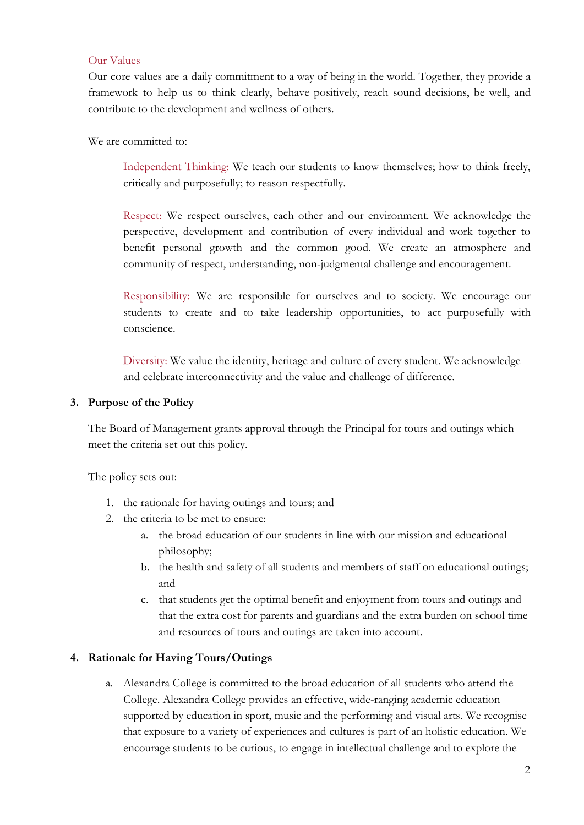#### Our Values

Our core values are a daily commitment to a way of being in the world. Together, they provide a framework to help us to think clearly, behave positively, reach sound decisions, be well, and contribute to the development and wellness of others.

We are committed to:

Independent Thinking: We teach our students to know themselves; how to think freely, critically and purposefully; to reason respectfully.

Respect: We respect ourselves, each other and our environment. We acknowledge the perspective, development and contribution of every individual and work together to benefit personal growth and the common good. We create an atmosphere and community of respect, understanding, non-judgmental challenge and encouragement.

Responsibility: We are responsible for ourselves and to society. We encourage our students to create and to take leadership opportunities, to act purposefully with conscience.

Diversity: We value the identity, heritage and culture of every student. We acknowledge and celebrate interconnectivity and the value and challenge of difference.

#### **3. Purpose of the Policy**

The Board of Management grants approval through the Principal for tours and outings which meet the criteria set out this policy.

The policy sets out:

- 1. the rationale for having outings and tours; and
- 2. the criteria to be met to ensure:
	- a. the broad education of our students in line with our mission and educational philosophy;
	- b. the health and safety of all students and members of staff on educational outings; and
	- c. that students get the optimal benefit and enjoyment from tours and outings and that the extra cost for parents and guardians and the extra burden on school time and resources of tours and outings are taken into account.

#### **4. Rationale for Having Tours/Outings**

a. Alexandra College is committed to the broad education of all students who attend the College. Alexandra College provides an effective, wide-ranging academic education supported by education in sport, music and the performing and visual arts. We recognise that exposure to a variety of experiences and cultures is part of an holistic education. We encourage students to be curious, to engage in intellectual challenge and to explore the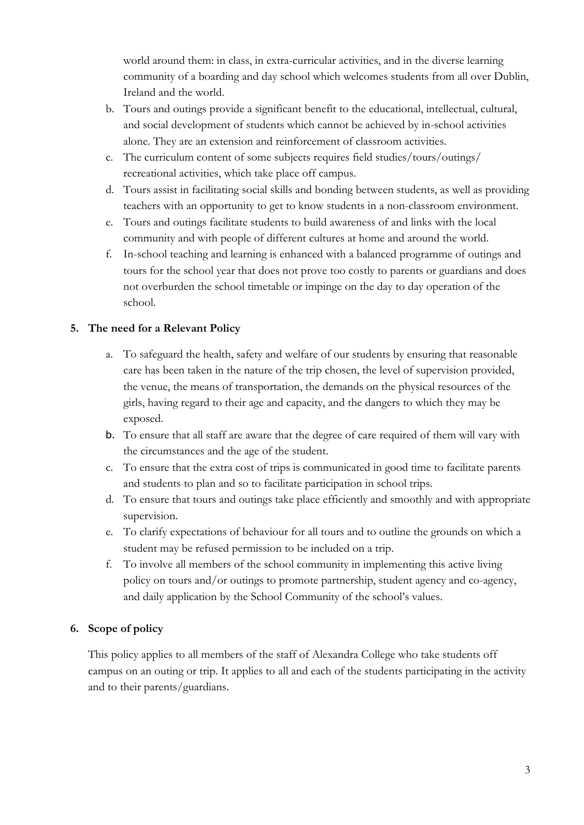world around them: in class, in extra-curricular activities, and in the diverse learning community of a boarding and day school which welcomes students from all over Dublin, Ireland and the world.

- b. Tours and outings provide a significant benefit to the educational, intellectual, cultural, and social development of students which cannot be achieved by in-school activities alone. They are an extension and reinforcement of classroom activities.
- c. The curriculum content of some subjects requires field studies/tours/outings/ recreational activities, which take place off campus.
- d. Tours assist in facilitating social skills and bonding between students, as well as providing teachers with an opportunity to get to know students in a non-classroom environment.
- e. Tours and outings facilitate students to build awareness of and links with the local community and with people of different cultures at home and around the world.
- f. In-school teaching and learning is enhanced with a balanced programme of outings and tours for the school year that does not prove too costly to parents or guardians and does not overburden the school timetable or impinge on the day to day operation of the school.

#### **5. The need for a Relevant Policy**

- a. To safeguard the health, safety and welfare of our students by ensuring that reasonable care has been taken in the nature of the trip chosen, the level of supervision provided, the venue, the means of transportation, the demands on the physical resources of the girls, having regard to their age and capacity, and the dangers to which they may be exposed.
- b. To ensure that all staff are aware that the degree of care required of them will vary with the circumstances and the age of the student.
- c. To ensure that the extra cost of trips is communicated in good time to facilitate parents and students to plan and so to facilitate participation in school trips.
- d. To ensure that tours and outings take place efficiently and smoothly and with appropriate supervision.
- e. To clarify expectations of behaviour for all tours and to outline the grounds on which a student may be refused permission to be included on a trip.
- f. To involve all members of the school community in implementing this active living policy on tours and/or outings to promote partnership, student agency and co-agency, and daily application by the School Community of the school's values.

#### **6. Scope of policy**

This policy applies to all members of the staff of Alexandra College who take students off campus on an outing or trip. It applies to all and each of the students participating in the activity and to their parents/guardians.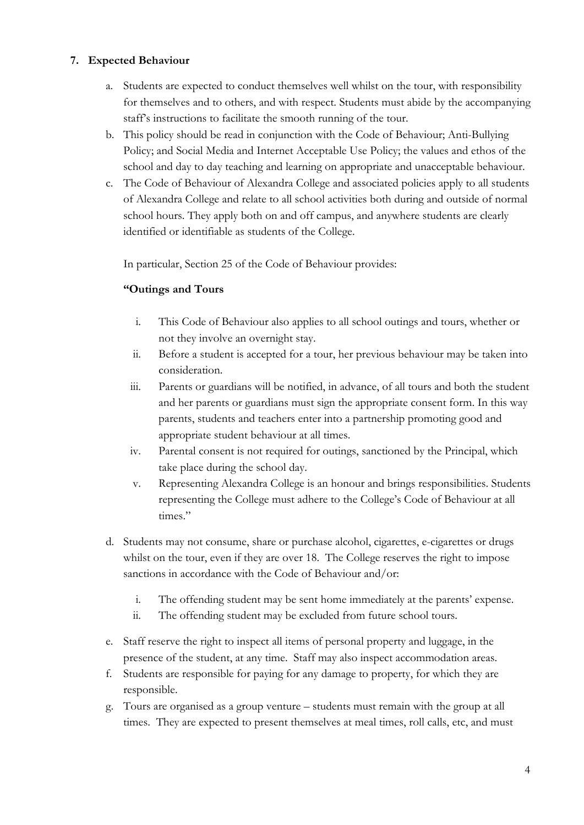#### **7. Expected Behaviour**

- a. Students are expected to conduct themselves well whilst on the tour, with responsibility for themselves and to others, and with respect. Students must abide by the accompanying staff's instructions to facilitate the smooth running of the tour.
- b. This policy should be read in conjunction with the Code of Behaviour; Anti-Bullying Policy; and Social Media and Internet Acceptable Use Policy; the values and ethos of the school and day to day teaching and learning on appropriate and unacceptable behaviour.
- c. The Code of Behaviour of Alexandra College and associated policies apply to all students of Alexandra College and relate to all school activities both during and outside of normal school hours. They apply both on and off campus, and anywhere students are clearly identified or identifiable as students of the College.

In particular, Section 25 of the Code of Behaviour provides:

#### **"Outings and Tours**

- i. This Code of Behaviour also applies to all school outings and tours, whether or not they involve an overnight stay.
- ii. Before a student is accepted for a tour, her previous behaviour may be taken into consideration.
- iii. Parents or guardians will be notified, in advance, of all tours and both the student and her parents or guardians must sign the appropriate consent form. In this way parents, students and teachers enter into a partnership promoting good and appropriate student behaviour at all times.
- iv. Parental consent is not required for outings, sanctioned by the Principal, which take place during the school day.
- v. Representing Alexandra College is an honour and brings responsibilities. Students representing the College must adhere to the College's Code of Behaviour at all times."
- d. Students may not consume, share or purchase alcohol, cigarettes, e-cigarettes or drugs whilst on the tour, even if they are over 18. The College reserves the right to impose sanctions in accordance with the Code of Behaviour and/or:
	- i. The offending student may be sent home immediately at the parents' expense.
	- ii. The offending student may be excluded from future school tours.
- e. Staff reserve the right to inspect all items of personal property and luggage, in the presence of the student, at any time. Staff may also inspect accommodation areas.
- f. Students are responsible for paying for any damage to property, for which they are responsible.
- g. Tours are organised as a group venture students must remain with the group at all times. They are expected to present themselves at meal times, roll calls, etc, and must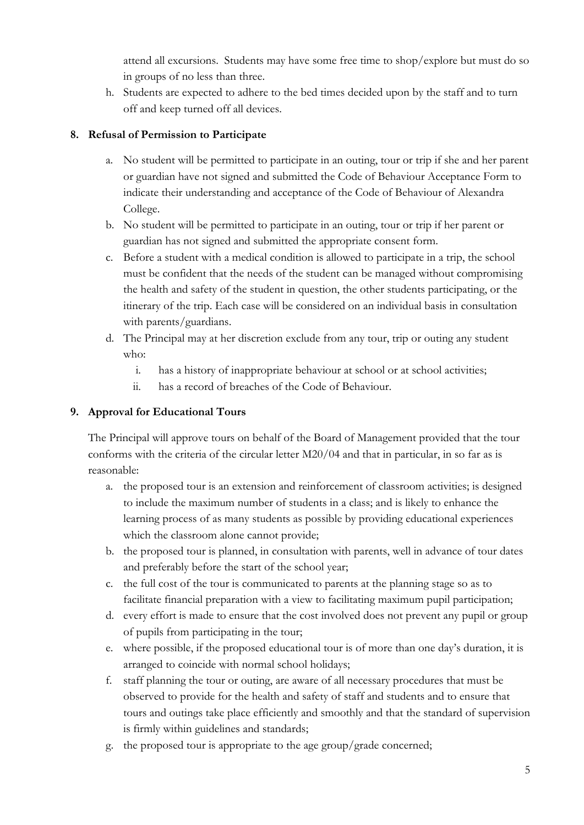attend all excursions. Students may have some free time to shop/explore but must do so in groups of no less than three.

h. Students are expected to adhere to the bed times decided upon by the staff and to turn off and keep turned off all devices.

#### **8. Refusal of Permission to Participate**

- a. No student will be permitted to participate in an outing, tour or trip if she and her parent or guardian have not signed and submitted the Code of Behaviour Acceptance Form to indicate their understanding and acceptance of the Code of Behaviour of Alexandra College.
- b. No student will be permitted to participate in an outing, tour or trip if her parent or guardian has not signed and submitted the appropriate consent form.
- c. Before a student with a medical condition is allowed to participate in a trip, the school must be confident that the needs of the student can be managed without compromising the health and safety of the student in question, the other students participating, or the itinerary of the trip. Each case will be considered on an individual basis in consultation with parents/guardians.
- d. The Principal may at her discretion exclude from any tour, trip or outing any student who:
	- i. has a history of inappropriate behaviour at school or at school activities;
	- ii. has a record of breaches of the Code of Behaviour.

#### **9. Approval for Educational Tours**

The Principal will approve tours on behalf of the Board of Management provided that the tour conforms with the criteria of the circular letter M20/04 and that in particular, in so far as is reasonable:

- a. the proposed tour is an extension and reinforcement of classroom activities; is designed to include the maximum number of students in a class; and is likely to enhance the learning process of as many students as possible by providing educational experiences which the classroom alone cannot provide;
- b. the proposed tour is planned, in consultation with parents, well in advance of tour dates and preferably before the start of the school year;
- c. the full cost of the tour is communicated to parents at the planning stage so as to facilitate financial preparation with a view to facilitating maximum pupil participation;
- d. every effort is made to ensure that the cost involved does not prevent any pupil or group of pupils from participating in the tour;
- e. where possible, if the proposed educational tour is of more than one day's duration, it is arranged to coincide with normal school holidays;
- f. staff planning the tour or outing, are aware of all necessary procedures that must be observed to provide for the health and safety of staff and students and to ensure that tours and outings take place efficiently and smoothly and that the standard of supervision is firmly within guidelines and standards;
- g. the proposed tour is appropriate to the age group/grade concerned;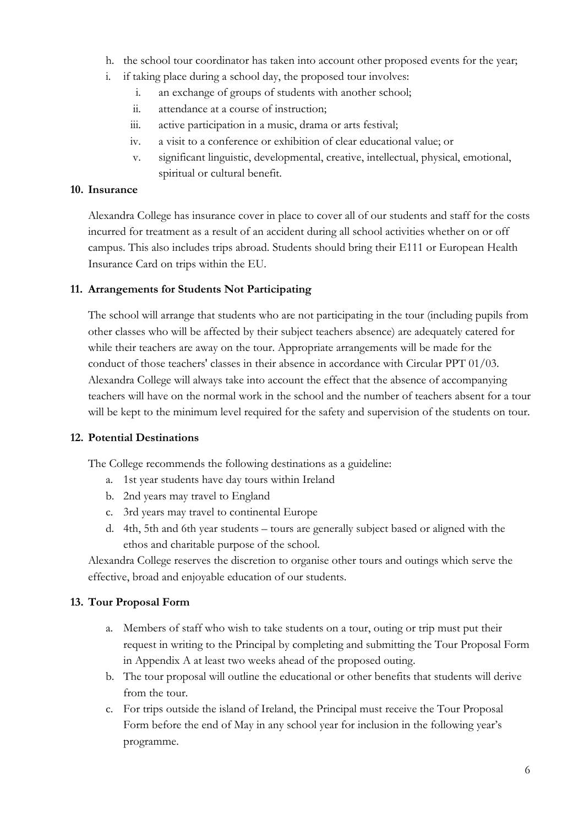- h. the school tour coordinator has taken into account other proposed events for the year;
- i. if taking place during a school day, the proposed tour involves:
	- i. an exchange of groups of students with another school;
	- ii. attendance at a course of instruction;
	- iii. active participation in a music, drama or arts festival;
	- iv. a visit to a conference or exhibition of clear educational value; or
	- v. significant linguistic, developmental, creative, intellectual, physical, emotional, spiritual or cultural benefit.

#### **10. Insurance**

Alexandra College has insurance cover in place to cover all of our students and staff for the costs incurred for treatment as a result of an accident during all school activities whether on or off campus. This also includes trips abroad. Students should bring their E111 or European Health Insurance Card on trips within the EU.

#### **11. Arrangements for Students Not Participating**

The school will arrange that students who are not participating in the tour (including pupils from other classes who will be affected by their subject teachers absence) are adequately catered for while their teachers are away on the tour. Appropriate arrangements will be made for the conduct of those teachers' classes in their absence in accordance with Circular PPT 01/03. Alexandra College will always take into account the effect that the absence of accompanying teachers will have on the normal work in the school and the number of teachers absent for a tour will be kept to the minimum level required for the safety and supervision of the students on tour.

#### **12. Potential Destinations**

The College recommends the following destinations as a guideline:

- a. 1st year students have day tours within Ireland
- b. 2nd years may travel to England
- c. 3rd years may travel to continental Europe
- d. 4th, 5th and 6th year students tours are generally subject based or aligned with the ethos and charitable purpose of the school.

Alexandra College reserves the discretion to organise other tours and outings which serve the effective, broad and enjoyable education of our students.

#### **13. Tour Proposal Form**

- a. Members of staff who wish to take students on a tour, outing or trip must put their request in writing to the Principal by completing and submitting the Tour Proposal Form in Appendix A at least two weeks ahead of the proposed outing.
- b. The tour proposal will outline the educational or other benefits that students will derive from the tour.
- c. For trips outside the island of Ireland, the Principal must receive the Tour Proposal Form before the end of May in any school year for inclusion in the following year's programme.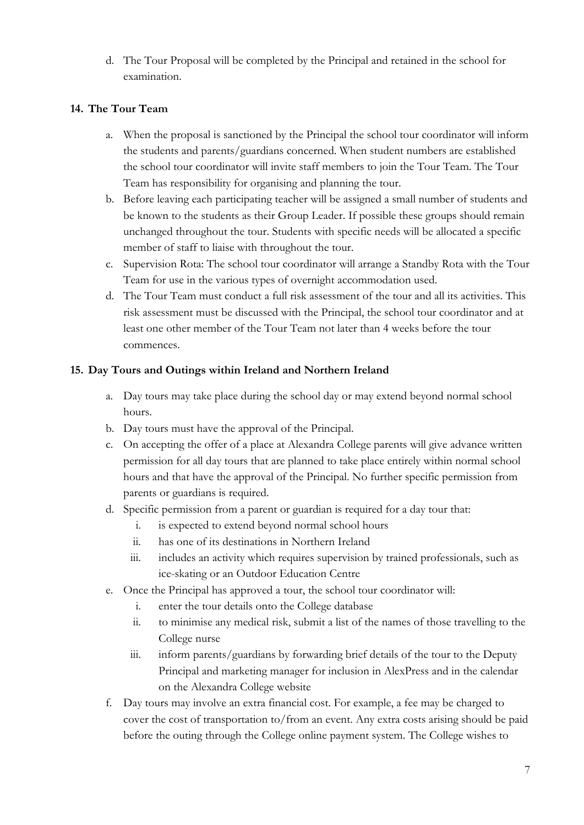d. The Tour Proposal will be completed by the Principal and retained in the school for examination.

#### **14. The Tour Team**

- a. When the proposal is sanctioned by the Principal the school tour coordinator will inform the students and parents/guardians concerned. When student numbers are established the school tour coordinator will invite staff members to join the Tour Team. The Tour Team has responsibility for organising and planning the tour.
- b. Before leaving each participating teacher will be assigned a small number of students and be known to the students as their Group Leader. If possible these groups should remain unchanged throughout the tour. Students with specific needs will be allocated a specific member of staff to liaise with throughout the tour.
- c. Supervision Rota: The school tour coordinator will arrange a Standby Rota with the Tour Team for use in the various types of overnight accommodation used.
- d. The Tour Team must conduct a full risk assessment of the tour and all its activities. This risk assessment must be discussed with the Principal, the school tour coordinator and at least one other member of the Tour Team not later than 4 weeks before the tour commences.

#### **15. Day Tours and Outings within Ireland and Northern Ireland**

- a. Day tours may take place during the school day or may extend beyond normal school hours.
- b. Day tours must have the approval of the Principal.
- c. On accepting the offer of a place at Alexandra College parents will give advance written permission for all day tours that are planned to take place entirely within normal school hours and that have the approval of the Principal. No further specific permission from parents or guardians is required.
- d. Specific permission from a parent or guardian is required for a day tour that:
	- i. is expected to extend beyond normal school hours
	- ii. has one of its destinations in Northern Ireland
	- iii. includes an activity which requires supervision by trained professionals, such as ice-skating or an Outdoor Education Centre
- e. Once the Principal has approved a tour, the school tour coordinator will:
	- i. enter the tour details onto the College database
	- ii. to minimise any medical risk, submit a list of the names of those travelling to the College nurse
	- iii. inform parents/guardians by forwarding brief details of the tour to the Deputy Principal and marketing manager for inclusion in AlexPress and in the calendar on the Alexandra College website
- f. Day tours may involve an extra financial cost. For example, a fee may be charged to cover the cost of transportation to/from an event. Any extra costs arising should be paid before the outing through the College online payment system. The College wishes to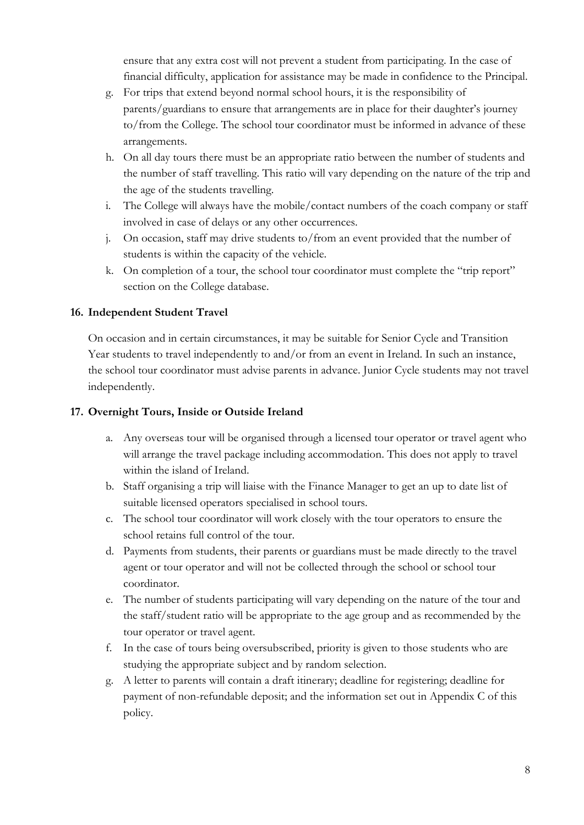ensure that any extra cost will not prevent a student from participating. In the case of financial difficulty, application for assistance may be made in confidence to the Principal.

- g. For trips that extend beyond normal school hours, it is the responsibility of parents/guardians to ensure that arrangements are in place for their daughter's journey to/from the College. The school tour coordinator must be informed in advance of these arrangements.
- h. On all day tours there must be an appropriate ratio between the number of students and the number of staff travelling. This ratio will vary depending on the nature of the trip and the age of the students travelling.
- i. The College will always have the mobile/contact numbers of the coach company or staff involved in case of delays or any other occurrences.
- j. On occasion, staff may drive students to/from an event provided that the number of students is within the capacity of the vehicle.
- k. On completion of a tour, the school tour coordinator must complete the "trip report" section on the College database.

#### **16. Independent Student Travel**

On occasion and in certain circumstances, it may be suitable for Senior Cycle and Transition Year students to travel independently to and/or from an event in Ireland. In such an instance, the school tour coordinator must advise parents in advance. Junior Cycle students may not travel independently.

#### **17. Overnight Tours, Inside or Outside Ireland**

- a. Any overseas tour will be organised through a licensed tour operator or travel agent who will arrange the travel package including accommodation. This does not apply to travel within the island of Ireland.
- b. Staff organising a trip will liaise with the Finance Manager to get an up to date list of suitable licensed operators specialised in school tours.
- c. The school tour coordinator will work closely with the tour operators to ensure the school retains full control of the tour.
- d. Payments from students, their parents or guardians must be made directly to the travel agent or tour operator and will not be collected through the school or school tour coordinator.
- e. The number of students participating will vary depending on the nature of the tour and the staff/student ratio will be appropriate to the age group and as recommended by the tour operator or travel agent.
- f. In the case of tours being oversubscribed, priority is given to those students who are studying the appropriate subject and by random selection.
- g. A letter to parents will contain a draft itinerary; deadline for registering; deadline for payment of non-refundable deposit; and the information set out in Appendix C of this policy.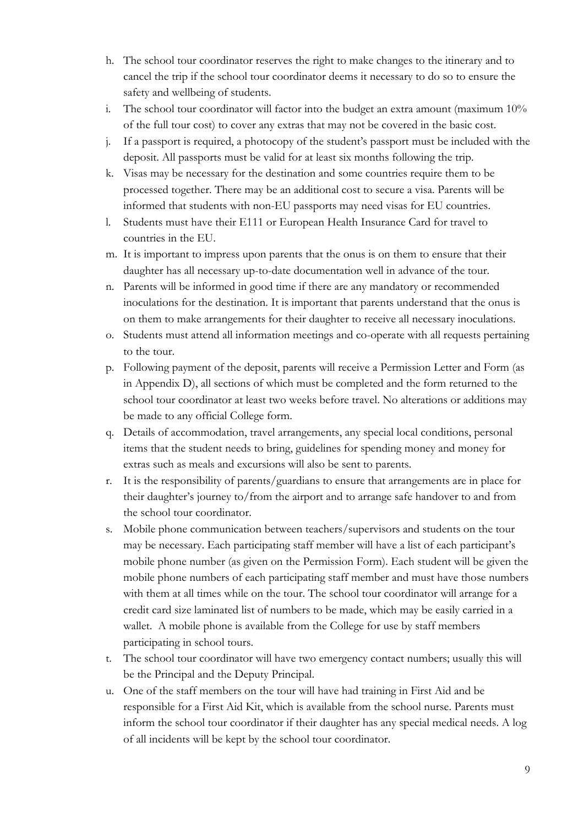- h. The school tour coordinator reserves the right to make changes to the itinerary and to cancel the trip if the school tour coordinator deems it necessary to do so to ensure the safety and wellbeing of students.
- i. The school tour coordinator will factor into the budget an extra amount (maximum 10% of the full tour cost) to cover any extras that may not be covered in the basic cost.
- j. If a passport is required, a photocopy of the student's passport must be included with the deposit. All passports must be valid for at least six months following the trip.
- k. Visas may be necessary for the destination and some countries require them to be processed together. There may be an additional cost to secure a visa. Parents will be informed that students with non-EU passports may need visas for EU countries.
- l. Students must have their E111 or European Health Insurance Card for travel to countries in the EU.
- m. It is important to impress upon parents that the onus is on them to ensure that their daughter has all necessary up-to-date documentation well in advance of the tour.
- n. Parents will be informed in good time if there are any mandatory or recommended inoculations for the destination. It is important that parents understand that the onus is on them to make arrangements for their daughter to receive all necessary inoculations.
- o. Students must attend all information meetings and co-operate with all requests pertaining to the tour.
- p. Following payment of the deposit, parents will receive a Permission Letter and Form (as in Appendix D), all sections of which must be completed and the form returned to the school tour coordinator at least two weeks before travel. No alterations or additions may be made to any official College form.
- q. Details of accommodation, travel arrangements, any special local conditions, personal items that the student needs to bring, guidelines for spending money and money for extras such as meals and excursions will also be sent to parents.
- r. It is the responsibility of parents/guardians to ensure that arrangements are in place for their daughter's journey to/from the airport and to arrange safe handover to and from the school tour coordinator.
- s. Mobile phone communication between teachers/supervisors and students on the tour may be necessary. Each participating staff member will have a list of each participant's mobile phone number (as given on the Permission Form). Each student will be given the mobile phone numbers of each participating staff member and must have those numbers with them at all times while on the tour. The school tour coordinator will arrange for a credit card size laminated list of numbers to be made, which may be easily carried in a wallet. A mobile phone is available from the College for use by staff members participating in school tours.
- t. The school tour coordinator will have two emergency contact numbers; usually this will be the Principal and the Deputy Principal.
- u. One of the staff members on the tour will have had training in First Aid and be responsible for a First Aid Kit, which is available from the school nurse. Parents must inform the school tour coordinator if their daughter has any special medical needs. A log of all incidents will be kept by the school tour coordinator.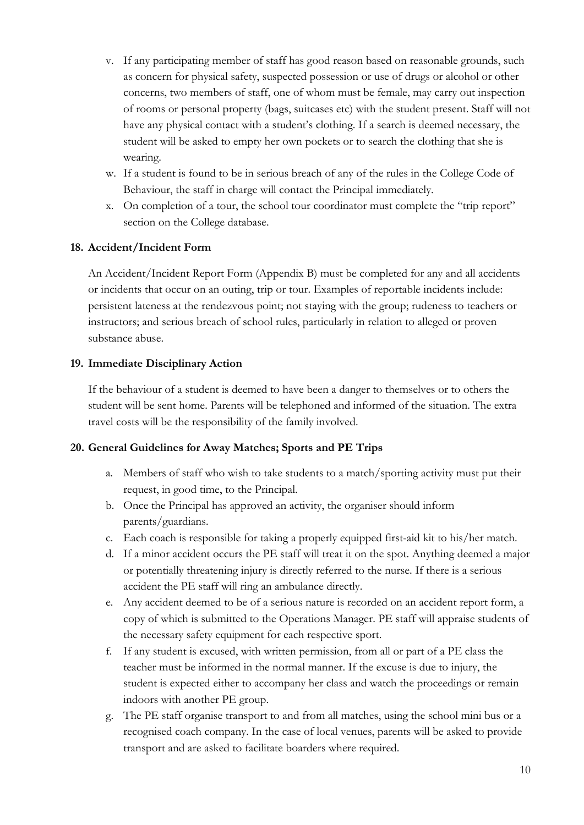- v. If any participating member of staff has good reason based on reasonable grounds, such as concern for physical safety, suspected possession or use of drugs or alcohol or other concerns, two members of staff, one of whom must be female, may carry out inspection of rooms or personal property (bags, suitcases etc) with the student present. Staff will not have any physical contact with a student's clothing. If a search is deemed necessary, the student will be asked to empty her own pockets or to search the clothing that she is wearing.
- w. If a student is found to be in serious breach of any of the rules in the College Code of Behaviour, the staff in charge will contact the Principal immediately.
- x. On completion of a tour, the school tour coordinator must complete the "trip report" section on the College database.

#### **18. Accident/Incident Form**

An Accident/Incident Report Form (Appendix B) must be completed for any and all accidents or incidents that occur on an outing, trip or tour. Examples of reportable incidents include: persistent lateness at the rendezvous point; not staying with the group; rudeness to teachers or instructors; and serious breach of school rules, particularly in relation to alleged or proven substance abuse.

#### **19. Immediate Disciplinary Action**

If the behaviour of a student is deemed to have been a danger to themselves or to others the student will be sent home. Parents will be telephoned and informed of the situation. The extra travel costs will be the responsibility of the family involved.

#### **20. General Guidelines for Away Matches; Sports and PE Trips**

- a. Members of staff who wish to take students to a match/sporting activity must put their request, in good time, to the Principal.
- b. Once the Principal has approved an activity, the organiser should inform parents/guardians.
- c. Each coach is responsible for taking a properly equipped first-aid kit to his/her match.
- d. If a minor accident occurs the PE staff will treat it on the spot. Anything deemed a major or potentially threatening injury is directly referred to the nurse. If there is a serious accident the PE staff will ring an ambulance directly.
- e. Any accident deemed to be of a serious nature is recorded on an accident report form, a copy of which is submitted to the Operations Manager. PE staff will appraise students of the necessary safety equipment for each respective sport.
- f. If any student is excused, with written permission, from all or part of a PE class the teacher must be informed in the normal manner. If the excuse is due to injury, the student is expected either to accompany her class and watch the proceedings or remain indoors with another PE group.
- g. The PE staff organise transport to and from all matches, using the school mini bus or a recognised coach company. In the case of local venues, parents will be asked to provide transport and are asked to facilitate boarders where required.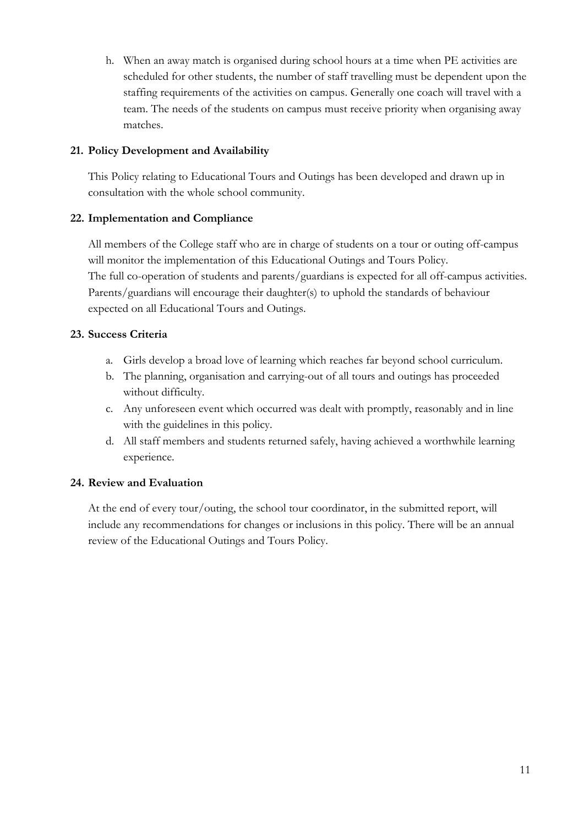h. When an away match is organised during school hours at a time when PE activities are scheduled for other students, the number of staff travelling must be dependent upon the staffing requirements of the activities on campus. Generally one coach will travel with a team. The needs of the students on campus must receive priority when organising away matches.

#### **21. Policy Development and Availability**

This Policy relating to Educational Tours and Outings has been developed and drawn up in consultation with the whole school community.

#### **22. Implementation and Compliance**

All members of the College staff who are in charge of students on a tour or outing off-campus will monitor the implementation of this Educational Outings and Tours Policy. The full co-operation of students and parents/guardians is expected for all off-campus activities. Parents/guardians will encourage their daughter(s) to uphold the standards of behaviour expected on all Educational Tours and Outings.

#### **23. Success Criteria**

- a. Girls develop a broad love of learning which reaches far beyond school curriculum.
- b. The planning, organisation and carrying-out of all tours and outings has proceeded without difficulty.
- c. Any unforeseen event which occurred was dealt with promptly, reasonably and in line with the guidelines in this policy.
- d. All staff members and students returned safely, having achieved a worthwhile learning experience.

#### **24. Review and Evaluation**

At the end of every tour/outing, the school tour coordinator, in the submitted report, will include any recommendations for changes or inclusions in this policy. There will be an annual review of the Educational Outings and Tours Policy.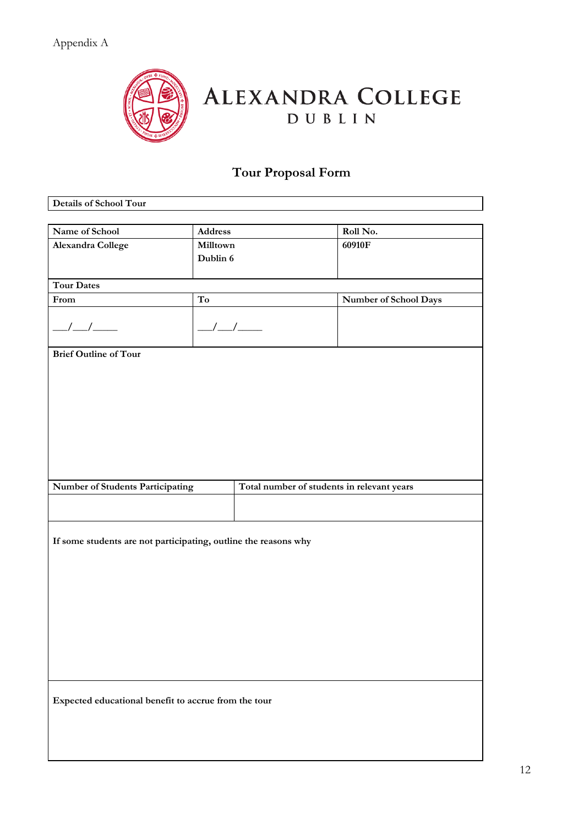

# ALEXANDRA COLLEGE

# **Tour Proposal Form**

| Details of School Tour                                                         |                        |  |                       |
|--------------------------------------------------------------------------------|------------------------|--|-----------------------|
|                                                                                |                        |  |                       |
| Name of School                                                                 | Address                |  | Roll No.              |
| <b>Alexandra College</b>                                                       | Milltown               |  | 60910F                |
|                                                                                | Dublin 6               |  |                       |
|                                                                                |                        |  |                       |
| <b>Tour Dates</b>                                                              |                        |  |                       |
| From                                                                           | $\mathbf{T}\mathbf{o}$ |  | Number of School Days |
| $\frac{1}{2}$                                                                  | $\frac{\mu}{\mu}$      |  |                       |
| <b>Brief Outline of Tour</b>                                                   |                        |  |                       |
|                                                                                |                        |  |                       |
|                                                                                |                        |  |                       |
|                                                                                |                        |  |                       |
|                                                                                |                        |  |                       |
|                                                                                |                        |  |                       |
|                                                                                |                        |  |                       |
|                                                                                |                        |  |                       |
|                                                                                |                        |  |                       |
|                                                                                |                        |  |                       |
| Number of Students Participating<br>Total number of students in relevant years |                        |  |                       |
|                                                                                |                        |  |                       |
|                                                                                |                        |  |                       |
|                                                                                |                        |  |                       |
| If some students are not participating, outline the reasons why                |                        |  |                       |
|                                                                                |                        |  |                       |
|                                                                                |                        |  |                       |
|                                                                                |                        |  |                       |
|                                                                                |                        |  |                       |
|                                                                                |                        |  |                       |
|                                                                                |                        |  |                       |
|                                                                                |                        |  |                       |
|                                                                                |                        |  |                       |
|                                                                                |                        |  |                       |
|                                                                                |                        |  |                       |
|                                                                                |                        |  |                       |
|                                                                                |                        |  |                       |
| Expected educational benefit to accrue from the tour                           |                        |  |                       |
|                                                                                |                        |  |                       |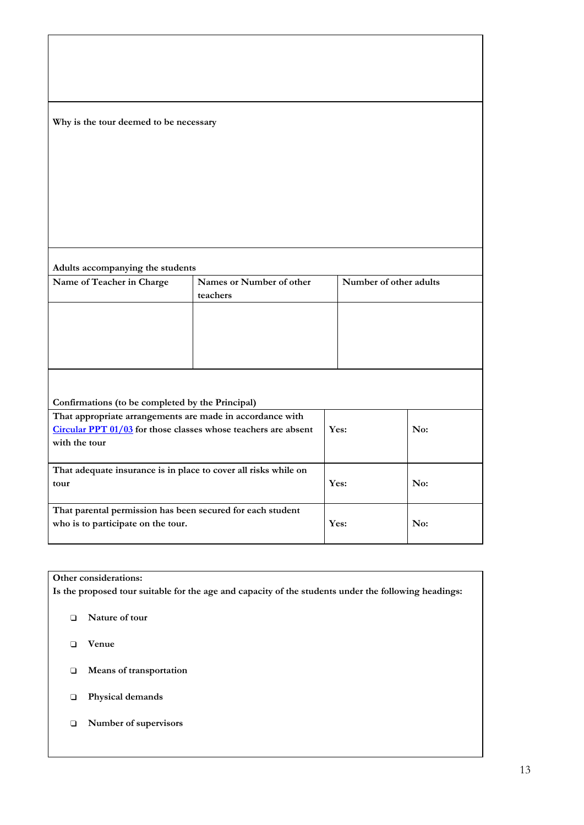| Why is the tour deemed to be necessary                                                           |                                      |                        |     |
|--------------------------------------------------------------------------------------------------|--------------------------------------|------------------------|-----|
|                                                                                                  |                                      |                        |     |
|                                                                                                  |                                      |                        |     |
|                                                                                                  |                                      |                        |     |
|                                                                                                  |                                      |                        |     |
|                                                                                                  |                                      |                        |     |
| Adults accompanying the students                                                                 |                                      |                        |     |
| Name of Teacher in Charge                                                                        | Names or Number of other<br>teachers | Number of other adults |     |
|                                                                                                  |                                      |                        |     |
|                                                                                                  |                                      |                        |     |
|                                                                                                  |                                      |                        |     |
|                                                                                                  |                                      |                        |     |
| Confirmations (to be completed by the Principal)                                                 |                                      |                        |     |
| That appropriate arrangements are made in accordance with                                        |                                      |                        |     |
| Circular PPT 01/03 for those classes whose teachers are absent<br>with the tour                  |                                      | Yes:                   | No: |
|                                                                                                  |                                      |                        |     |
| That adequate insurance is in place to cover all risks while on<br>tour                          |                                      | Yes:                   | No: |
| That parental permission has been secured for each student<br>who is to participate on the tour. |                                      | Yes:                   | No: |
|                                                                                                  |                                      |                        |     |

#### **Other considerations:**

**Is the proposed tour suitable for the age and capacity of the students under the following headings:**

- ❑ **Nature of tour**
- ❑ **Venue**
- ❑ **Means of transportation**
- ❑ **Physical demands**
- ❑ **Number of supervisors**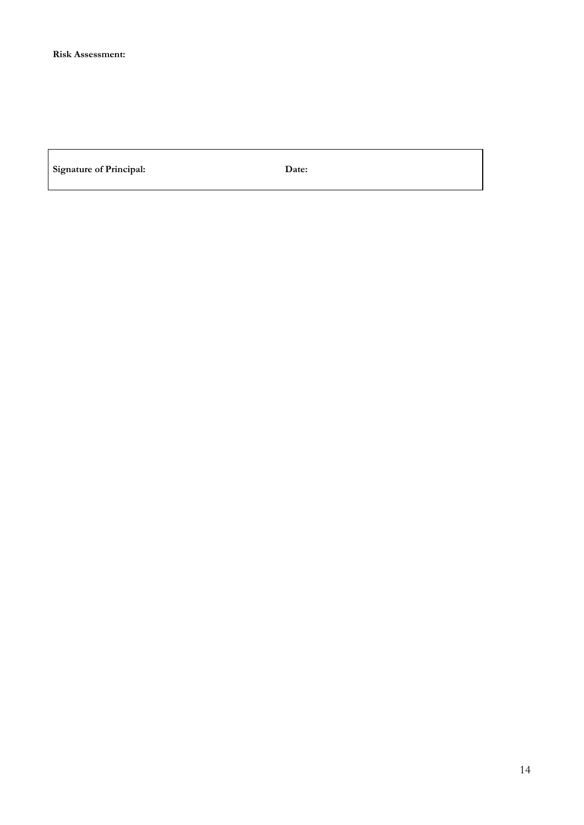**Signature of Principal: Date:**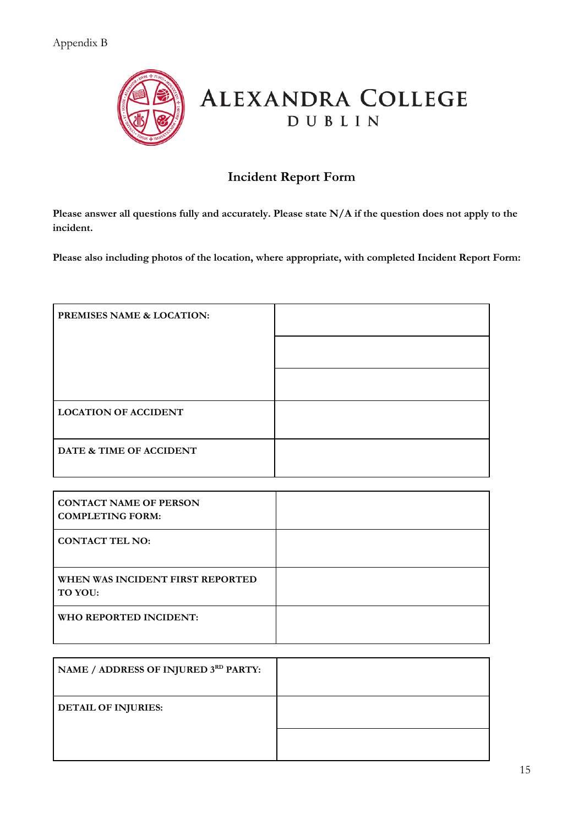

## **Incident Report Form**

Please answer all questions fully and accurately. Please state N/A if the question does not apply to the **incident.**

**Please also including photos of the location, where appropriate, with completed Incident Report Form:**

| PREMISES NAME & LOCATION:   |  |
|-----------------------------|--|
|                             |  |
|                             |  |
| <b>LOCATION OF ACCIDENT</b> |  |
| DATE & TIME OF ACCIDENT     |  |

| <b>CONTACT NAME OF PERSON</b><br><b>COMPLETING FORM:</b> |  |
|----------------------------------------------------------|--|
| <b>CONTACT TEL NO:</b>                                   |  |
| WHEN WAS INCIDENT FIRST REPORTED<br>TO YOU:              |  |
| WHO REPORTED INCIDENT:                                   |  |

| NAME / ADDRESS OF INJURED 3RD PARTY: |  |
|--------------------------------------|--|
| <b>DETAIL OF INJURIES:</b>           |  |
|                                      |  |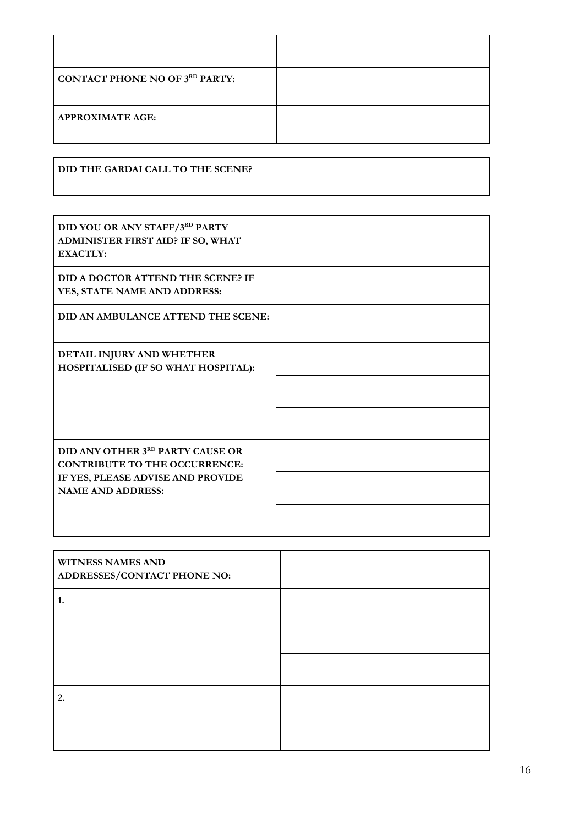| <b>CONTACT PHONE NO OF 3RD PARTY:</b> |  |
|---------------------------------------|--|
| <b>APPROXIMATE AGE:</b>               |  |

| <b>I DID THE GARDAI CALL TO THE SCENE?</b> |  |
|--------------------------------------------|--|
|--------------------------------------------|--|

| DID YOU OR ANY STAFF/3RD PARTY<br>ADMINISTER FIRST AID? IF SO, WHAT<br><b>EXACTLY:</b> |  |
|----------------------------------------------------------------------------------------|--|
| DID A DOCTOR ATTEND THE SCENE? IF<br>YES, STATE NAME AND ADDRESS:                      |  |
| DID AN AMBULANCE ATTEND THE SCENE:                                                     |  |
| DETAIL INJURY AND WHETHER<br>HOSPITALISED (IF SO WHAT HOSPITAL):                       |  |
|                                                                                        |  |
|                                                                                        |  |
| DID ANY OTHER 3RD PARTY CAUSE OR<br><b>CONTRIBUTE TO THE OCCURRENCE:</b>               |  |
| IF YES, PLEASE ADVISE AND PROVIDE<br><b>NAME AND ADDRESS:</b>                          |  |
|                                                                                        |  |

| <b>WITNESS NAMES AND</b><br>ADDRESSES/CONTACT PHONE NO: |  |
|---------------------------------------------------------|--|
| 1.                                                      |  |
|                                                         |  |
|                                                         |  |
| 2.                                                      |  |
|                                                         |  |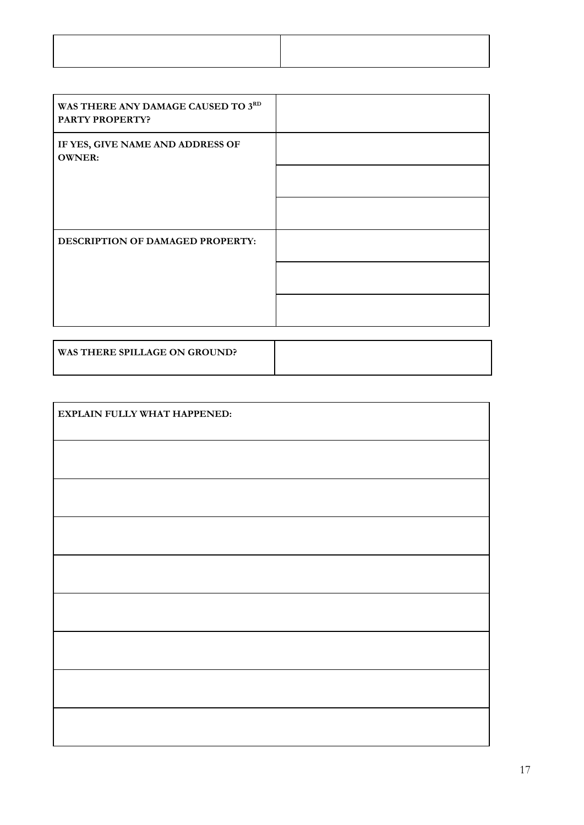| WAS THERE ANY DAMAGE CAUSED TO 3RD<br><b>PARTY PROPERTY?</b> |  |
|--------------------------------------------------------------|--|
| IF YES, GIVE NAME AND ADDRESS OF<br><b>OWNER:</b>            |  |
|                                                              |  |
|                                                              |  |
| <b>DESCRIPTION OF DAMAGED PROPERTY:</b>                      |  |
|                                                              |  |
|                                                              |  |

| <b>WAS THERE SPILLAGE ON GROUND?</b> |  |
|--------------------------------------|--|
|                                      |  |

| EXPLAIN FULLY WHAT HAPPENED: |  |  |  |
|------------------------------|--|--|--|
|                              |  |  |  |
|                              |  |  |  |
|                              |  |  |  |
|                              |  |  |  |
|                              |  |  |  |
|                              |  |  |  |
|                              |  |  |  |
|                              |  |  |  |
|                              |  |  |  |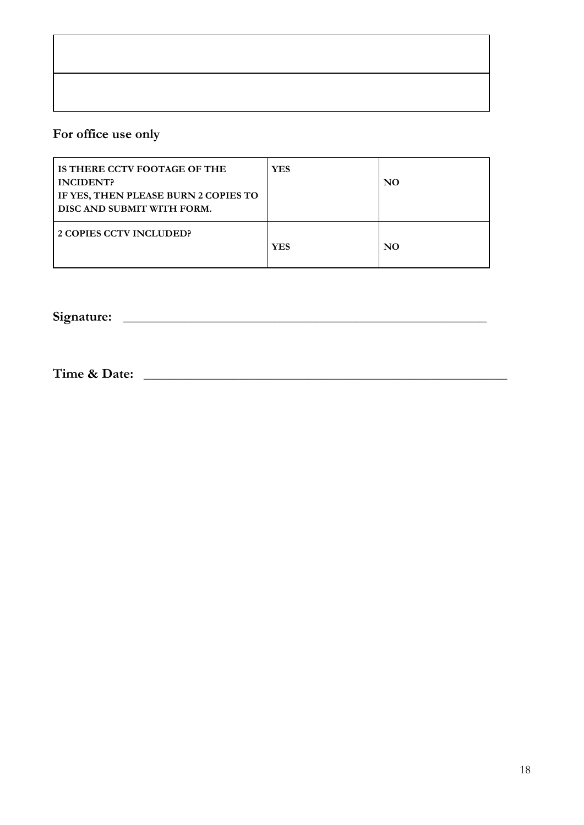# **For office use only**

| IS THERE CCTV FOOTAGE OF THE<br><b>INCIDENT?</b><br>IF YES, THEN PLEASE BURN 2 COPIES TO<br>DISC AND SUBMIT WITH FORM. | <b>YES</b> | NO. |
|------------------------------------------------------------------------------------------------------------------------|------------|-----|
| 2 COPIES CCTV INCLUDED?                                                                                                | <b>YES</b> | NO. |

**Signature: \_\_\_\_\_\_\_\_\_\_\_\_\_\_\_\_\_\_\_\_\_\_\_\_\_\_\_\_\_\_\_\_\_\_\_\_\_\_\_\_\_\_\_\_\_\_\_\_\_\_\_\_\_**

**Time & Date: \_\_\_\_\_\_\_\_\_\_\_\_\_\_\_\_\_\_\_\_\_\_\_\_\_\_\_\_\_\_\_\_\_\_\_\_\_\_\_\_\_\_\_\_\_\_\_\_\_\_\_\_\_**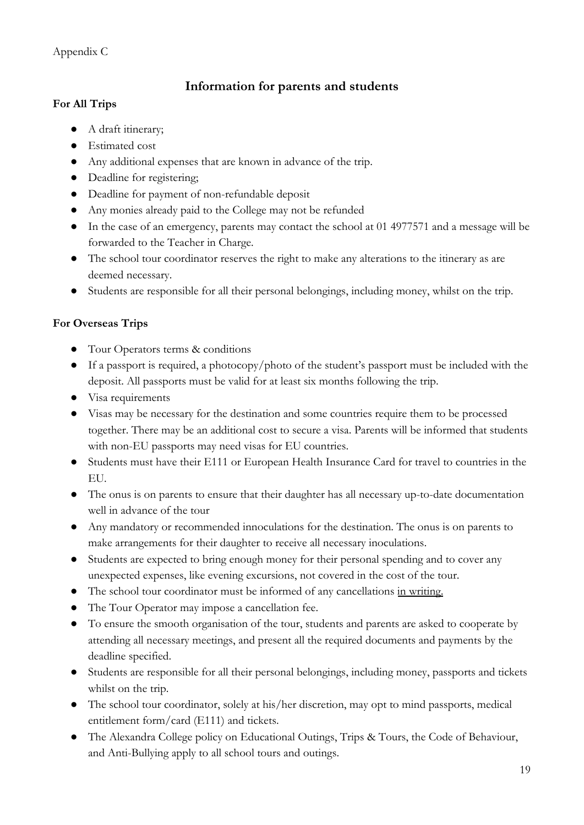#### **Information for parents and students**

#### **For All Trips**

- A draft itinerary;
- Estimated cost
- Any additional expenses that are known in advance of the trip.
- Deadline for registering;
- Deadline for payment of non-refundable deposit
- Any monies already paid to the College may not be refunded
- In the case of an emergency, parents may contact the school at 01 4977571 and a message will be forwarded to the Teacher in Charge.
- The school tour coordinator reserves the right to make any alterations to the itinerary as are deemed necessary.
- Students are responsible for all their personal belongings, including money, whilst on the trip.

#### **For Overseas Trips**

- Tour Operators terms & conditions
- If a passport is required, a photocopy/photo of the student's passport must be included with the deposit. All passports must be valid for at least six months following the trip.
- Visa requirements
- Visas may be necessary for the destination and some countries require them to be processed together. There may be an additional cost to secure a visa. Parents will be informed that students with non-EU passports may need visas for EU countries.
- Students must have their E111 or European Health Insurance Card for travel to countries in the EU.
- The onus is on parents to ensure that their daughter has all necessary up-to-date documentation well in advance of the tour
- Any mandatory or recommended innoculations for the destination. The onus is on parents to make arrangements for their daughter to receive all necessary inoculations.
- Students are expected to bring enough money for their personal spending and to cover any unexpected expenses, like evening excursions, not covered in the cost of the tour.
- The school tour coordinator must be informed of any cancellations in writing.
- The Tour Operator may impose a cancellation fee.
- To ensure the smooth organisation of the tour, students and parents are asked to cooperate by attending all necessary meetings, and present all the required documents and payments by the deadline specified.
- Students are responsible for all their personal belongings, including money, passports and tickets whilst on the trip.
- The school tour coordinator, solely at his/her discretion, may opt to mind passports, medical entitlement form/card (E111) and tickets.
- The Alexandra College policy on Educational Outings, Trips & Tours, the Code of Behaviour, and Anti-Bullying apply to all school tours and outings.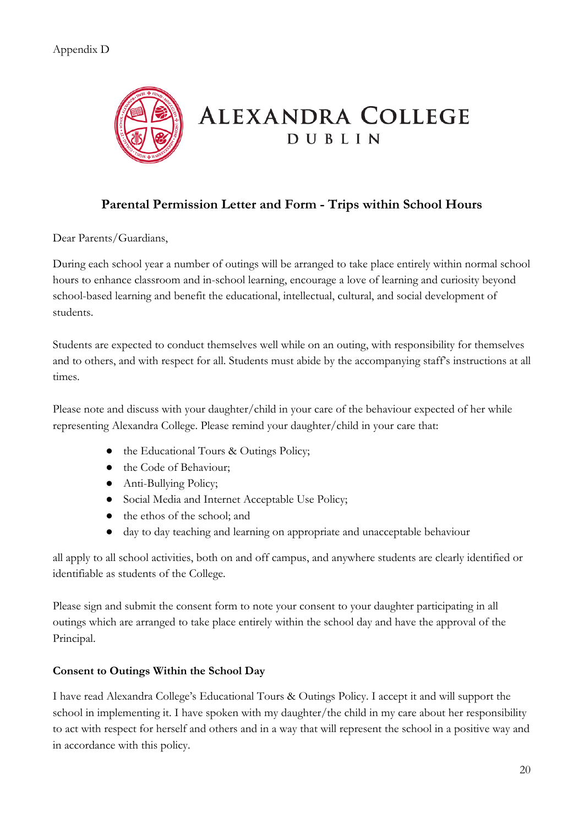

### **Parental Permission Letter and Form - Trips within School Hours**

Dear Parents/Guardians,

During each school year a number of outings will be arranged to take place entirely within normal school hours to enhance classroom and in-school learning, encourage a love of learning and curiosity beyond school-based learning and benefit the educational, intellectual, cultural, and social development of students.

Students are expected to conduct themselves well while on an outing, with responsibility for themselves and to others, and with respect for all. Students must abide by the accompanying staff's instructions at all times.

Please note and discuss with your daughter/child in your care of the behaviour expected of her while representing Alexandra College. Please remind your daughter/child in your care that:

- the Educational Tours & Outings Policy;
- the Code of Behaviour;
- Anti-Bullying Policy;
- Social Media and Internet Acceptable Use Policy;
- the ethos of the school; and
- day to day teaching and learning on appropriate and unacceptable behaviour

all apply to all school activities, both on and off campus, and anywhere students are clearly identified or identifiable as students of the College.

Please sign and submit the consent form to note your consent to your daughter participating in all outings which are arranged to take place entirely within the school day and have the approval of the Principal.

#### **Consent to Outings Within the School Day**

I have read Alexandra College's Educational Tours & Outings Policy. I accept it and will support the school in implementing it. I have spoken with my daughter/the child in my care about her responsibility to act with respect for herself and others and in a way that will represent the school in a positive way and in accordance with this policy.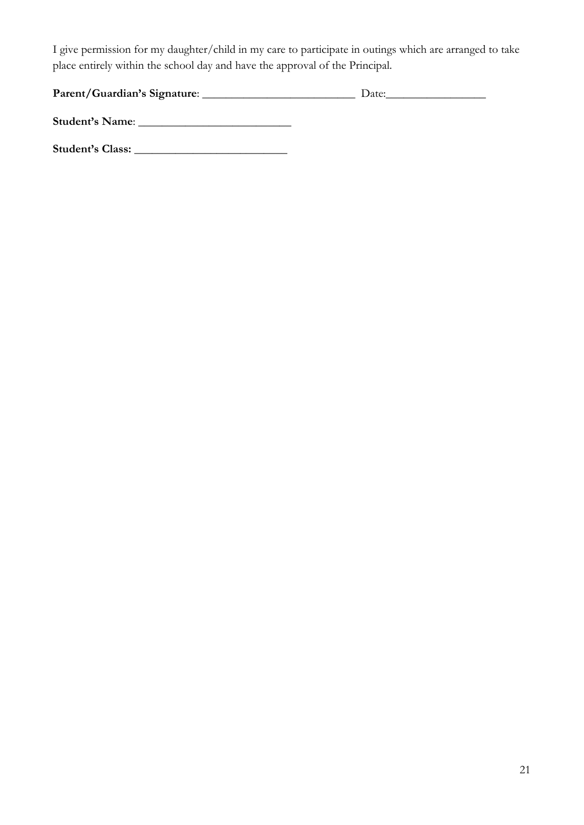I give permission for my daughter/child in my care to participate in outings which are arranged to take place entirely within the school day and have the approval of the Principal.

| Parent/Guardian's Signature: | Date: |
|------------------------------|-------|
|                              |       |

**Student's Name**: \_\_\_\_\_\_\_\_\_\_\_\_\_\_\_\_\_\_\_\_\_\_\_\_\_\_

**Student's Class:** \_\_\_\_\_\_\_\_\_\_\_\_\_\_\_\_\_\_\_\_\_\_\_\_\_\_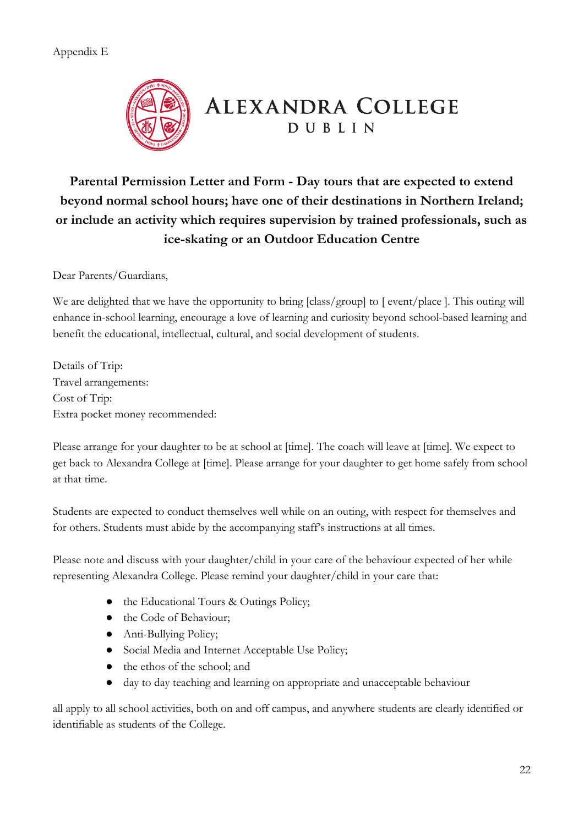#### Appendix E



# **ALEXANDRA COLLEGE DUBLIN**

**Parental Permission Letter and Form - Day tours that are expected to extend beyond normal school hours; have one of their destinations in Northern Ireland; or include an activity which requires supervision by trained professionals, such as ice-skating or an Outdoor Education Centre**

Dear Parents/Guardians,

We are delighted that we have the opportunity to bring [class/group] to [ event/place ]. This outing will enhance in-school learning, encourage a love of learning and curiosity beyond school-based learning and benefit the educational, intellectual, cultural, and social development of students.

Details of Trip: Travel arrangements: Cost of Trip: Extra pocket money recommended:

Please arrange for your daughter to be at school at [time]. The coach will leave at [time]. We expect to get back to Alexandra College at [time]. Please arrange for your daughter to get home safely from school at that time.

Students are expected to conduct themselves well while on an outing, with respect for themselves and for others. Students must abide by the accompanying staff's instructions at all times.

Please note and discuss with your daughter/child in your care of the behaviour expected of her while representing Alexandra College. Please remind your daughter/child in your care that:

- the Educational Tours & Outings Policy;
- the Code of Behaviour;
- Anti-Bullying Policy;
- Social Media and Internet Acceptable Use Policy;
- the ethos of the school; and
- day to day teaching and learning on appropriate and unacceptable behaviour

all apply to all school activities, both on and off campus, and anywhere students are clearly identified or identifiable as students of the College.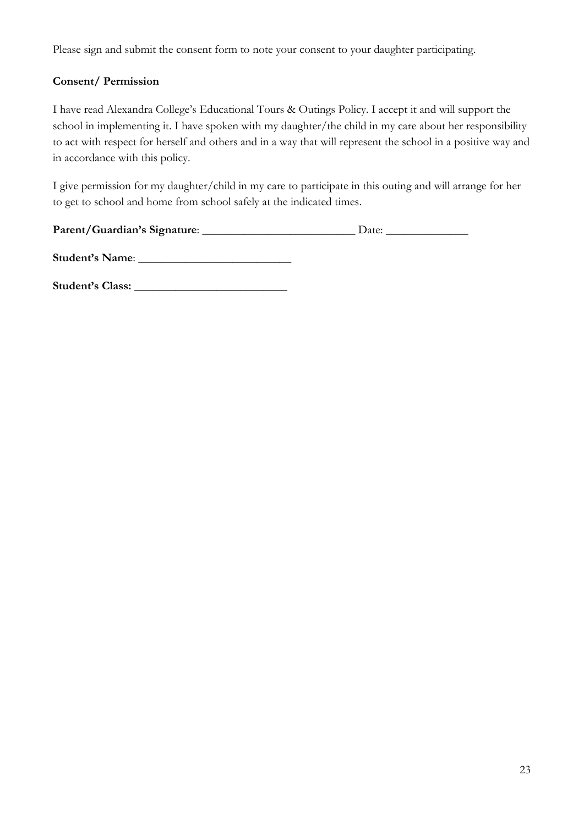Please sign and submit the consent form to note your consent to your daughter participating.

#### **Consent/ Permission**

I have read Alexandra College's Educational Tours & Outings Policy. I accept it and will support the school in implementing it. I have spoken with my daughter/the child in my care about her responsibility to act with respect for herself and others and in a way that will represent the school in a positive way and in accordance with this policy.

I give permission for my daughter/child in my care to participate in this outing and will arrange for her to get to school and home from school safely at the indicated times.

| Parent/Guardian's Signature: | Date: |
|------------------------------|-------|
|------------------------------|-------|

| <b>Student's Name:</b> |  |
|------------------------|--|
|------------------------|--|

**Student's Class:** \_\_\_\_\_\_\_\_\_\_\_\_\_\_\_\_\_\_\_\_\_\_\_\_\_\_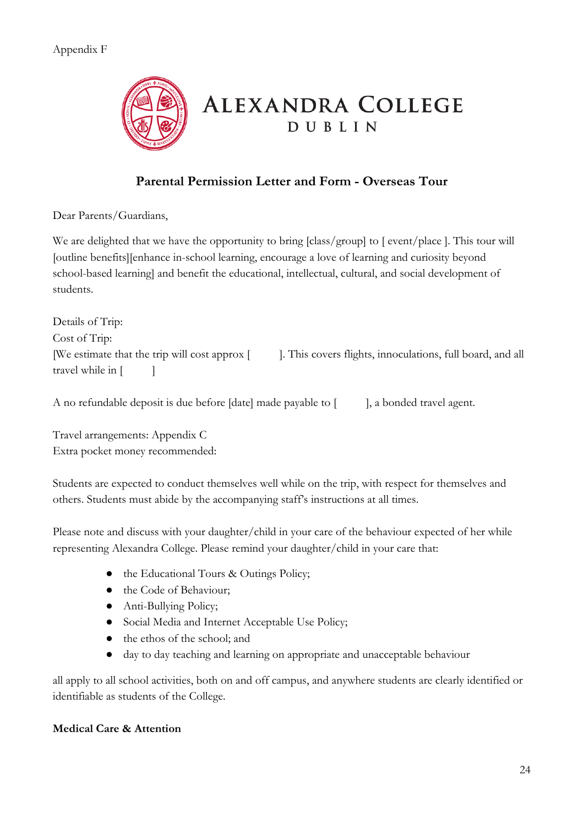

# **ALEXANDRA COLLEGE** DUBLIN

## **Parental Permission Letter and Form - Overseas Tour**

Dear Parents/Guardians,

We are delighted that we have the opportunity to bring [class/group] to [ event/place ]. This tour will [outline benefits][enhance in-school learning, encourage a love of learning and curiosity beyond school-based learning] and benefit the educational, intellectual, cultural, and social development of students.

Details of Trip: Cost of Trip: [We estimate that the trip will cost approx [ ]. This covers flights, innoculations, full board, and all travel while in  $\lceil$   $\rceil$ 

A no refundable deposit is due before [date] made payable to [ ], a bonded travel agent.

Travel arrangements: Appendix C Extra pocket money recommended:

Students are expected to conduct themselves well while on the trip, with respect for themselves and others. Students must abide by the accompanying staff's instructions at all times.

Please note and discuss with your daughter/child in your care of the behaviour expected of her while representing Alexandra College. Please remind your daughter/child in your care that:

- the Educational Tours & Outings Policy;
- the Code of Behaviour;
- Anti-Bullying Policy;
- Social Media and Internet Acceptable Use Policy;
- the ethos of the school; and
- day to day teaching and learning on appropriate and unacceptable behaviour

all apply to all school activities, both on and off campus, and anywhere students are clearly identified or identifiable as students of the College.

#### **Medical Care & Attention**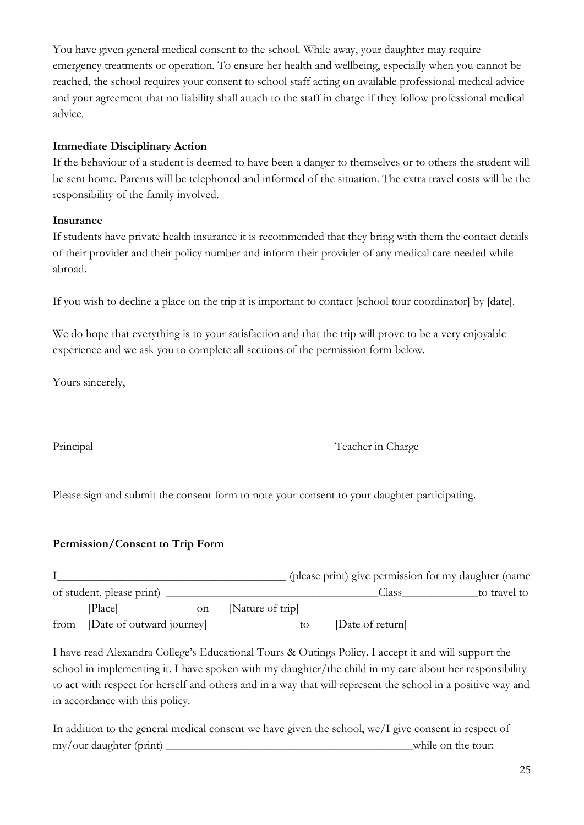You have given general medical consent to the school. While away, your daughter may require emergency treatments or operation. To ensure her health and wellbeing, especially when you cannot be reached, the school requires your consent to school staff acting on available professional medical advice and your agreement that no liability shall attach to the staff in charge if they follow professional medical advice.

#### **Immediate Disciplinary Action**

If the behaviour of a student is deemed to have been a danger to themselves or to others the student will be sent home. Parents will be telephoned and informed of the situation. The extra travel costs will be the responsibility of the family involved.

#### **Insurance**

If students have private health insurance it is recommended that they bring with them the contact details of their provider and their policy number and inform their provider of any medical care needed while abroad.

If you wish to decline a place on the trip it is important to contact [school tour coordinator] by [date].

We do hope that everything is to your satisfaction and that the trip will prove to be a very enjoyable experience and we ask you to complete all sections of the permission form below.

Yours sincerely,

Principal Teacher in Charge

Please sign and submit the consent form to note your consent to your daughter participating.

#### **Permission/Consent to Trip Form**

|                                |    |                  | (please print) give permission for my daughter (name |              |
|--------------------------------|----|------------------|------------------------------------------------------|--------------|
| of student, please print)      |    |                  | Class                                                | to travel to |
| [Place]                        | on | [Nature of trip] |                                                      |              |
| from [Date of outward journey] |    | to.              | [Date of return]                                     |              |

I have read Alexandra College's Educational Tours & Outings Policy. I accept it and will support the school in implementing it. I have spoken with my daughter/the child in my care about her responsibility to act with respect for herself and others and in a way that will represent the school in a positive way and in accordance with this policy.

In addition to the general medical consent we have given the school, we/I give consent in respect of my/our daughter (print) and the tour: the tour: the tour: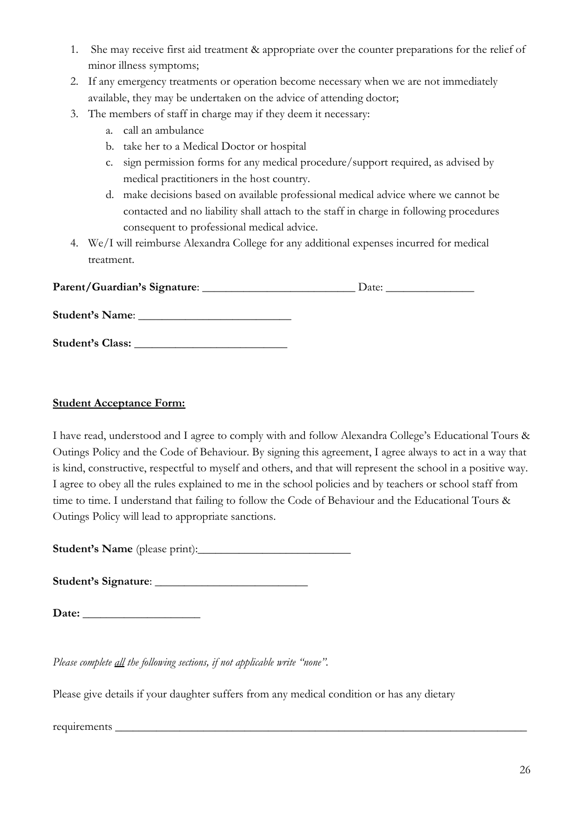- 1. She may receive first aid treatment & appropriate over the counter preparations for the relief of minor illness symptoms;
- 2. If any emergency treatments or operation become necessary when we are not immediately available, they may be undertaken on the advice of attending doctor;
- 3. The members of staff in charge may if they deem it necessary:
	- a. call an ambulance
	- b. take her to a Medical Doctor or hospital
	- c. sign permission forms for any medical procedure/support required, as advised by medical practitioners in the host country.
	- d. make decisions based on available professional medical advice where we cannot be contacted and no liability shall attach to the staff in charge in following procedures consequent to professional medical advice.
- 4. We/I will reimburse Alexandra College for any additional expenses incurred for medical treatment.

| Parent/Guardian's Signature: | Date: |
|------------------------------|-------|
| Student's Name:              |       |
| Student's Class:             |       |

#### **Student Acceptance Form:**

I have read, understood and I agree to comply with and follow Alexandra College's Educational Tours & Outings Policy and the Code of Behaviour. By signing this agreement, I agree always to act in a way that is kind, constructive, respectful to myself and others, and that will represent the school in a positive way. I agree to obey all the rules explained to me in the school policies and by teachers or school staff from time to time. I understand that failing to follow the Code of Behaviour and the Educational Tours & Outings Policy will lead to appropriate sanctions.

**Student's Name** (please print):\_\_\_\_\_\_\_\_\_\_\_\_\_\_\_\_\_\_\_\_\_\_\_\_\_\_

**Student's Signature**: \_\_\_\_\_\_\_\_\_\_\_\_\_\_\_\_\_\_\_\_\_\_\_\_\_\_

**Date:** \_\_\_\_\_\_\_\_\_\_\_\_\_\_\_\_\_\_\_\_

*Please complete all the following sections, if not applicable write "none".*

Please give details if your daughter suffers from any medical condition or has any dietary

requirements \_\_\_\_\_\_\_\_\_\_\_\_\_\_\_\_\_\_\_\_\_\_\_\_\_\_\_\_\_\_\_\_\_\_\_\_\_\_\_\_\_\_\_\_\_\_\_\_\_\_\_\_\_\_\_\_\_\_\_\_\_\_\_\_\_\_\_\_\_\_